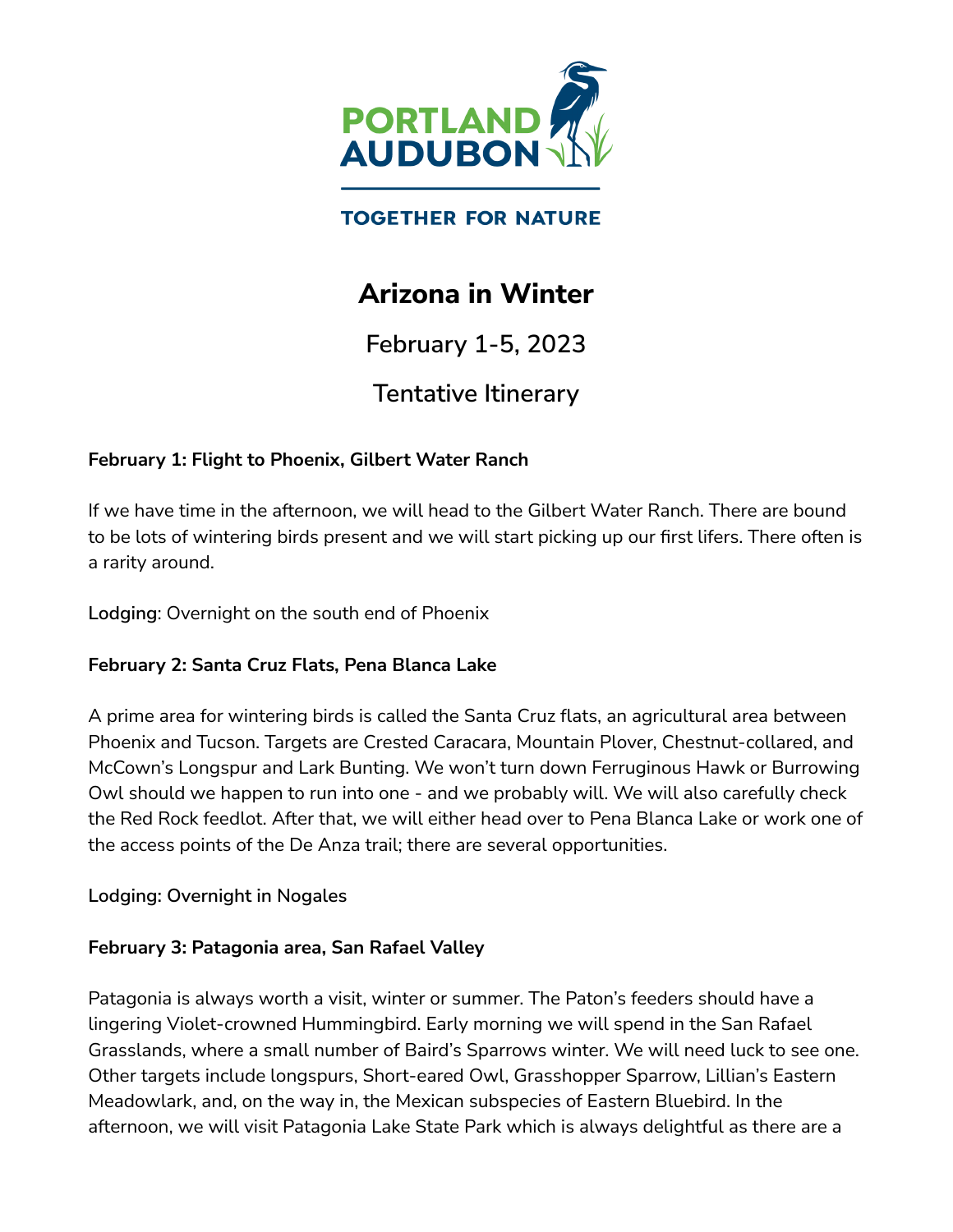

## **TOGETHER FOR NATURE**

# **Arizona in Winter**

**February 1-5, 2023**

# **Tentative Itinerary**

### **February 1: Flight to Phoenix, Gilbert Water Ranch**

If we have time in the afternoon, we will head to the Gilbert Water Ranch. There are bound to be lots of wintering birds present and we will start picking up our first lifers. There often is a rarity around.

**Lodging**: Overnight on the south end of Phoenix

### **February 2: Santa Cruz Flats, Pena Blanca Lake**

A prime area for wintering birds is called the Santa Cruz flats, an agricultural area between Phoenix and Tucson. Targets are Crested Caracara, Mountain Plover, Chestnut-collared, and McCown's Longspur and Lark Bunting. We won't turn down Ferruginous Hawk or Burrowing Owl should we happen to run into one - and we probably will. We will also carefully check the Red Rock feedlot. After that, we will either head over to Pena Blanca Lake or work one of the access points of the De Anza trail; there are several opportunities.

#### **Lodging: Overnight in Nogales**

#### **February 3: Patagonia area, San Rafael Valley**

Patagonia is always worth a visit, winter or summer. The Paton's feeders should have a lingering Violet-crowned Hummingbird. Early morning we will spend in the San Rafael Grasslands, where a small number of Baird's Sparrows winter. We will need luck to see one. Other targets include longspurs, Short-eared Owl, Grasshopper Sparrow, Lillian's Eastern Meadowlark, and, on the way in, the Mexican subspecies of Eastern Bluebird. In the afternoon, we will visit Patagonia Lake State Park which is always delightful as there are a